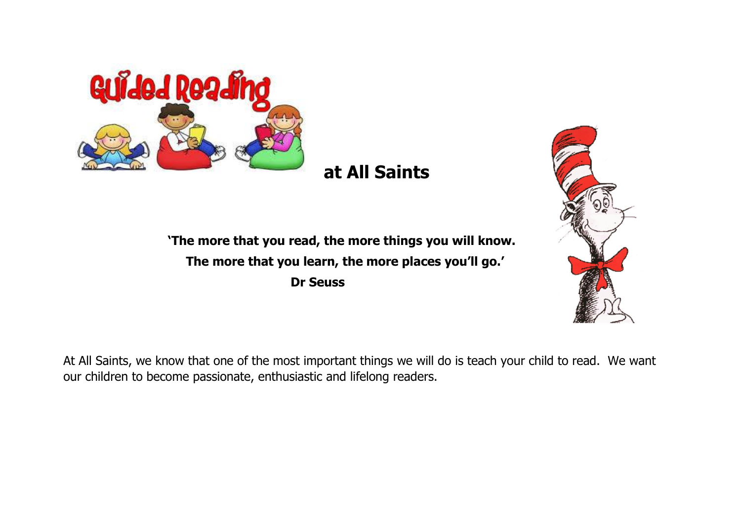

## **at All Saints**

 **'The more that you read, the more things you will know. The more that you learn, the more places you'll go.' Dr Seuss** 



At All Saints, we know that one of the most important things we will do is teach your child to read. We want our children to become passionate, enthusiastic and lifelong readers.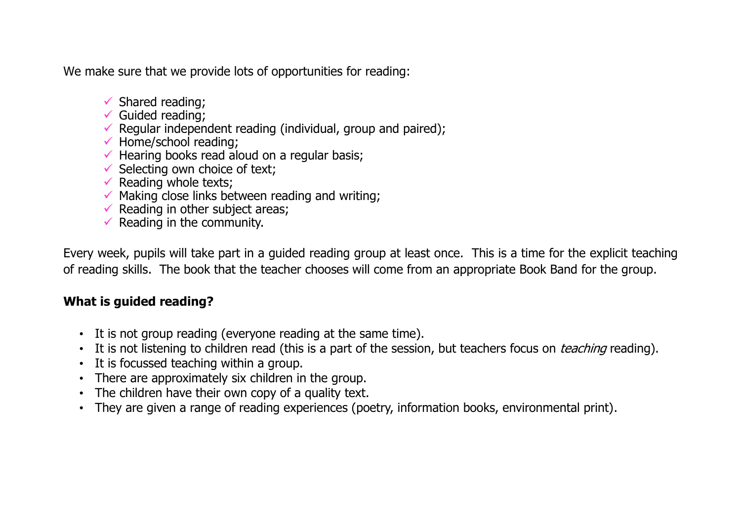We make sure that we provide lots of opportunities for reading:

- $\checkmark$  Shared reading:
- $\checkmark$  Guided reading:
- Regular independent reading (individual, group and paired);
- $\checkmark$  Home/school reading;
- $\checkmark$  Hearing books read aloud on a regular basis;
- $\checkmark$  Selecting own choice of text;
- $\checkmark$  Reading whole texts;
- $\checkmark$  Making close links between reading and writing:
- $\checkmark$  Reading in other subject areas;
- $\checkmark$  Reading in the community.

Every week, pupils will take part in a guided reading group at least once. This is a time for the explicit teaching of reading skills. The book that the teacher chooses will come from an appropriate Book Band for the group.

## **What is guided reading?**

- It is not group reading (everyone reading at the same time).
- It is not listening to children read (this is a part of the session, but teachers focus on *teaching* reading).
- It is focussed teaching within a group.
- There are approximately six children in the group.
- The children have their own copy of a quality text.
- They are given a range of reading experiences (poetry, information books, environmental print).